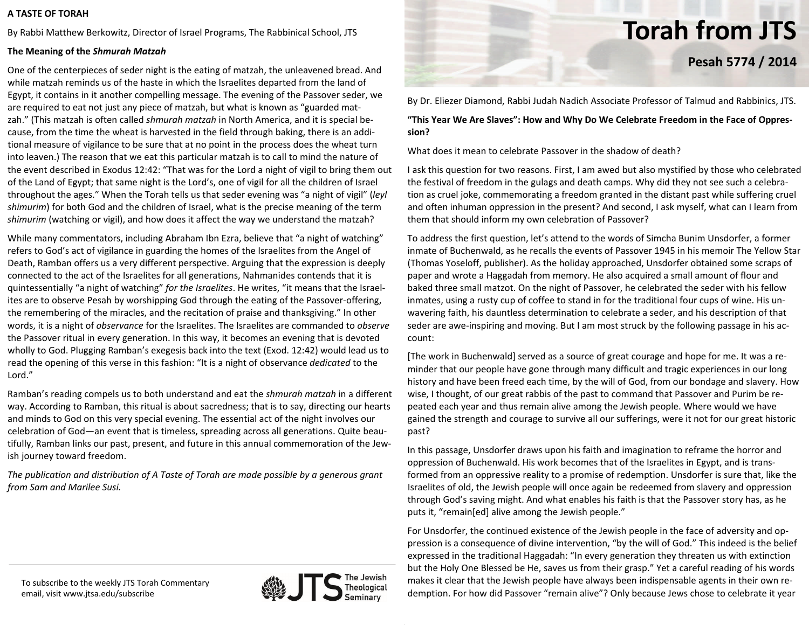### **A TASTE OF TORAH**

By Rabbi Matthew Berkowitz, Director of Israel Programs, The Rabbinical School, JTS

## **The Meaning of the** *Shmurah Matzah*

One of the centerpieces of seder night is the eating of matzah, the unleavened bread. And while matzah reminds us of the haste in which the Israelites departed from the land of Egypt, it contains in it another compelling message. The evening of the Passover seder, we are required to eat not just any piece of matzah, but what is known as "guarded mat‐ zah." (This matzah is often called *shmurah matzah* in North America, and it is special be‐ cause, from the time the wheat is harvested in the field through baking, there is an addi‐ tional measure of vigilance to be sure that at no point in the process does the wheat turn into leaven.) The reason that we eat this particular matzah is to call to mind the nature of the event described in Exodus 12:42: "That was for the Lord <sup>a</sup> night of vigil to bring them out of the Land of Egypt; that same night is the Lord's, one of vigil for all the children of Israel throughout the ages." When the Torah tells us that seder evening was "a night of vigil" (*leyl shimurim*) for both God and the children of Israel, what is the precise meaning of the term *shimurim* (watching or vigil), and how does it affect the way we understand the matzah?

While many commentators, including Abraham Ibn Ezra, believe that "a night of watching" refers to God's act of vigilance in guarding the homes of the Israelites from the Angel of Death, Ramban offers us <sup>a</sup> very different perspective. Arguing that the expression is deeply connected to the act of the Israelites for all generations, Nahmanides contends that it is quintessentially "a night of watching" *for the Israelites*. He writes, "it means that the Israel‐ ites are to observe Pesah by worshipping God through the eating of the Passover‐offering, the remembering of the miracles, and the recitation of praise and thanksgiving." In other words, it is <sup>a</sup> night of *observance* for the Israelites. The Israelites are commanded to *observe* the Passover ritual in every generation. In this way, it becomes an evening that is devoted wholly to God. Plugging Ramban's exegesis back into the text (Exod. 12:42) would lead us to read the opening of this verse in this fashion: "It is <sup>a</sup> night of observance *dedicated* to the Lord."

Ramban's reading compels us to both understand and eat the *shmurah matzah* in <sup>a</sup> different way. According to Ramban, this ritual is about sacredness; that is to say, directing our hearts and minds to God on this very special evening. The essential act of the night involves our celebration of God—an event that is timeless, spreading across all generations. Quite beau‐ tifully, Ramban links our past, present, and future in this annual commemoration of the Jew‐ ish journey toward freedom.

*The publication and distribution of A Taste of Torah are made possible by <sup>a</sup> generous grant from Sam and Marilee Susi.*



# **Torah from JTS**

**Pesah 5774 / 2014**

By Dr. Eliezer Diamond, Rabbi Judah Nadich Associate Professor of Talmud and Rabbinics, JTS.

**"This Year We Are Slaves": How and Why Do We Celebrate Freedom in the Face of Oppres‐ sion?**

What does it mean to celebrate Passover in the shadow of death?

I ask this question for two reasons. First, I am awed but also mystified by those who celebrated the festival of freedom in the gulags and death camps. Why did they not see such <sup>a</sup> celebra‐ tion as cruel joke, commemorating <sup>a</sup> freedom granted in the distant past while suffering cruel and often inhuman oppression in the present? And second, I ask myself, what can I learn from them that should inform my own celebration of Passover?

To address the first question, let's attend to the words of Simcha Bunim Unsdorfer, <sup>a</sup> former inmate of Buchenwald, as he recalls the events of Passover 1945 in his memoir The Yellow Star (Thomas Yoseloff, publisher). As the holiday approached, Unsdorfer obtained some scraps of paper and wrote <sup>a</sup> Haggadah from memory. He also acquired <sup>a</sup> small amount of flour and baked three small matzot. On the night of Passover, he celebrated the seder with his fellow inmates, using <sup>a</sup> rusty cup of coffee to stand in for the traditional four cups of wine. His un‐ wavering faith, his dauntless determination to celebrate <sup>a</sup> seder, and his description of that seder are awe‐inspiring and moving. But I am most struck by the following passage in his ac‐ count:

[The work in Buchenwald] served as <sup>a</sup> source of great courage and hope for me. It was <sup>a</sup> re‐ minder that our people have gone through many difficult and tragic experiences in our long history and have been freed each time, by the will of God, from our bondage and slavery. How wise, I thought, of our great rabbis of the past to command that Passover and Purim be repeated each year and thus remain alive among the Jewish people. Where would we have gained the strength and courage to survive all our sufferings, were it not for our great historic past?

In this passage, Unsdorfer draws upon his faith and imagination to reframe the horror and oppression of Buchenwald. His work becomes that of the Israelites in Egypt, and is trans‐ formed from an oppressive reality to <sup>a</sup> promise of redemption. Unsdorfer is sure that, like the Israelites of old, the Jewish people will once again be redeemed from slavery and oppression through God's saving might. And what enables his faith is that the Passover story has, as he puts it, "remain[ed] alive among the Jewish people."

For Unsdorfer, the continued existence of the Jewish people in the face of adversity and op‐ pression is <sup>a</sup> consequence of divine intervention, "by the will of God." This indeed is the belief expressed in the traditional Haggadah: "In every generation they threaten us with extinction but the Holy One Blessed be He, saves us from their grasp." Yet <sup>a</sup> careful reading of his words makes it clear that the Jewish people have always been indispensable agents in their own re‐ demption. For how did Passover "remain alive"? Only because Jews chose to celebrate it year

To subscribe to the weekly JTS Torah Commentary email, visit www.jtsa.edu/subscribe